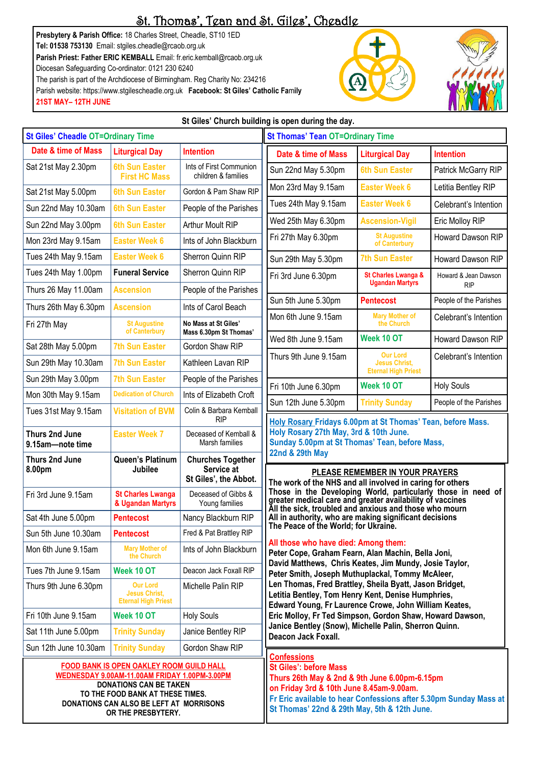# St. Thomas', Tean and St. Giles', Cheadle

**Presbytery & Parish Office:** 18 Charles Street, Cheadle, ST10 1ED **Tel: 01538 753130** Email: stgiles.cheadle@rcaob.org.uk **Parish Priest: Father ERIC KEMBALL** Email: fr.eric.kemball@rcaob.org.uk Diocesan Safeguarding Co-ordinator: 0121 230 6240 The parish is part of the Archdiocese of Birmingham. Reg Charity No: 234216 Parish website: https://www.stgilescheadle.org.uk **Facebook: St Giles' Catholic Fa**m**ily** 

**OR THE PRESBYTERY.**

**21ST MAY– 12TH JUNE**





### **St Giles' Church building is open during the day.**

| <b>St Giles' Cheadle OT=Ordinary Time</b>                                                                                                                                                                        |                                                                       |                                                                 | <b>St Thomas' Tean OT=Ordinary Time</b>                                                                                                                                                                                                                                                                                                                                                                                                                                                                                                                                                                                                                                                                                                                                                                                                                                                                                                                                                                                                |                                                                       |                        |
|------------------------------------------------------------------------------------------------------------------------------------------------------------------------------------------------------------------|-----------------------------------------------------------------------|-----------------------------------------------------------------|----------------------------------------------------------------------------------------------------------------------------------------------------------------------------------------------------------------------------------------------------------------------------------------------------------------------------------------------------------------------------------------------------------------------------------------------------------------------------------------------------------------------------------------------------------------------------------------------------------------------------------------------------------------------------------------------------------------------------------------------------------------------------------------------------------------------------------------------------------------------------------------------------------------------------------------------------------------------------------------------------------------------------------------|-----------------------------------------------------------------------|------------------------|
| Date & time of Mass                                                                                                                                                                                              | <b>Liturgical Day</b>                                                 | <b>Intention</b>                                                | Date & time of Mass                                                                                                                                                                                                                                                                                                                                                                                                                                                                                                                                                                                                                                                                                                                                                                                                                                                                                                                                                                                                                    | <b>Liturgical Day</b>                                                 | <b>Intention</b>       |
| Sat 21st May 2.30pm                                                                                                                                                                                              | <b>6th Sun Easter</b><br><b>First HC Mass</b>                         | Ints of First Communion<br>children & families                  | Sun 22nd May 5.30pm                                                                                                                                                                                                                                                                                                                                                                                                                                                                                                                                                                                                                                                                                                                                                                                                                                                                                                                                                                                                                    | <b>6th Sun Easter</b>                                                 | Patrick McGarry RIP    |
| Sat 21st May 5.00pm                                                                                                                                                                                              | <b>6th Sun Easter</b>                                                 | Gordon & Pam Shaw RIP                                           | Mon 23rd May 9.15am                                                                                                                                                                                                                                                                                                                                                                                                                                                                                                                                                                                                                                                                                                                                                                                                                                                                                                                                                                                                                    | <b>Easter Week 6</b>                                                  | Letitia Bentley RIP    |
| Sun 22nd May 10.30am                                                                                                                                                                                             | <b>6th Sun Easter</b>                                                 | People of the Parishes                                          | Tues 24th May 9.15am                                                                                                                                                                                                                                                                                                                                                                                                                                                                                                                                                                                                                                                                                                                                                                                                                                                                                                                                                                                                                   | <b>Easter Week 6</b>                                                  | Celebrant's Intention  |
| Sun 22nd May 3.00pm                                                                                                                                                                                              | <b>6th Sun Easter</b>                                                 | Arthur Moult RIP                                                | Wed 25th May 6.30pm                                                                                                                                                                                                                                                                                                                                                                                                                                                                                                                                                                                                                                                                                                                                                                                                                                                                                                                                                                                                                    | <b>Ascension-Vigil</b>                                                | Eric Molloy RIP        |
| Mon 23rd May 9.15am                                                                                                                                                                                              | <b>Easter Week 6</b>                                                  | Ints of John Blackburn                                          | Fri 27th May 6.30pm                                                                                                                                                                                                                                                                                                                                                                                                                                                                                                                                                                                                                                                                                                                                                                                                                                                                                                                                                                                                                    | <b>St Augustine</b><br>of Canterbury                                  | Howard Dawson RIP      |
| Tues 24th May 9.15am                                                                                                                                                                                             | <b>Easter Week 6</b>                                                  | Sherron Quinn RIP                                               | Sun 29th May 5.30pm                                                                                                                                                                                                                                                                                                                                                                                                                                                                                                                                                                                                                                                                                                                                                                                                                                                                                                                                                                                                                    | <b>7th Sun Easter</b>                                                 | Howard Dawson RIP      |
| Tues 24th May 1.00pm                                                                                                                                                                                             | <b>Funeral Service</b>                                                | Sherron Quinn RIP                                               | Fri 3rd June 6.30pm                                                                                                                                                                                                                                                                                                                                                                                                                                                                                                                                                                                                                                                                                                                                                                                                                                                                                                                                                                                                                    | St Charles Lwanga &                                                   | Howard & Jean Dawson   |
| Thurs 26 May 11.00am                                                                                                                                                                                             | <b>Ascension</b>                                                      | People of the Parishes                                          |                                                                                                                                                                                                                                                                                                                                                                                                                                                                                                                                                                                                                                                                                                                                                                                                                                                                                                                                                                                                                                        | <b>Ugandan Martyrs</b>                                                | <b>RIP</b>             |
| Thurs 26th May 6.30pm                                                                                                                                                                                            | <b>Ascension</b>                                                      | Ints of Carol Beach                                             | Sun 5th June 5.30pm                                                                                                                                                                                                                                                                                                                                                                                                                                                                                                                                                                                                                                                                                                                                                                                                                                                                                                                                                                                                                    | <b>Pentecost</b>                                                      | People of the Parishes |
| Fri 27th May                                                                                                                                                                                                     | <b>St Augustine</b><br>of Canterbury                                  | No Mass at St Giles'<br>Mass 6.30pm St Thomas'                  | Mon 6th June 9.15am                                                                                                                                                                                                                                                                                                                                                                                                                                                                                                                                                                                                                                                                                                                                                                                                                                                                                                                                                                                                                    | <b>Mary Mother of</b><br>the Church                                   | Celebrant's Intention  |
| Sat 28th May 5.00pm                                                                                                                                                                                              | <b>7th Sun Easter</b>                                                 | Gordon Shaw RIP                                                 | Wed 8th June 9.15am                                                                                                                                                                                                                                                                                                                                                                                                                                                                                                                                                                                                                                                                                                                                                                                                                                                                                                                                                                                                                    | Week 10 OT                                                            | Howard Dawson RIP      |
| Sun 29th May 10.30am                                                                                                                                                                                             | <b>7th Sun Easter</b>                                                 | Kathleen Lavan RIP                                              | Thurs 9th June 9.15am                                                                                                                                                                                                                                                                                                                                                                                                                                                                                                                                                                                                                                                                                                                                                                                                                                                                                                                                                                                                                  | <b>Our Lord</b><br><b>Jesus Christ.</b><br><b>Eternal High Priest</b> | Celebrant's Intention  |
| Sun 29th May 3.00pm                                                                                                                                                                                              | <b>7th Sun Easter</b>                                                 | People of the Parishes                                          | Fri 10th June 6.30pm                                                                                                                                                                                                                                                                                                                                                                                                                                                                                                                                                                                                                                                                                                                                                                                                                                                                                                                                                                                                                   | Week 10 OT                                                            | <b>Holy Souls</b>      |
| Mon 30th May 9.15am                                                                                                                                                                                              | <b>Dedication of Church</b>                                           | Ints of Elizabeth Croft                                         | Sun 12th June 5.30pm                                                                                                                                                                                                                                                                                                                                                                                                                                                                                                                                                                                                                                                                                                                                                                                                                                                                                                                                                                                                                   | <b>Trinity Sunday</b>                                                 | People of the Parishes |
| Tues 31st May 9.15am                                                                                                                                                                                             | <b>Visitation of BVM</b>                                              | Colin & Barbara Kemball<br><b>RIP</b>                           | Holy Rosary Fridays 6.00pm at St Thomas' Tean, before Mass.                                                                                                                                                                                                                                                                                                                                                                                                                                                                                                                                                                                                                                                                                                                                                                                                                                                                                                                                                                            |                                                                       |                        |
| Thurs 2nd June<br>9.15am-note time                                                                                                                                                                               | <b>Easter Week 7</b>                                                  | Deceased of Kemball &<br>Marsh families                         | Holy Rosary 27th May, 3rd & 10th June.<br>Sunday 5.00pm at St Thomas' Tean, before Mass,<br>22nd & 29th May<br>PLEASE REMEMBER IN YOUR PRAYERS<br>The work of the NHS and all involved in caring for others<br>Those in the Developing World, particularly those in need of<br>greater medical care and greater availability of vaccines<br>All the sick, troubled and anxious and those who mourn<br>All in authority, who are making significant decisions<br>The Peace of the World; for Ukraine.<br>All those who have died: Among them:<br>Peter Cope, Graham Fearn, Alan Machin, Bella Joni,<br>David Matthews, Chris Keates, Jim Mundy, Josie Taylor,<br>Peter Smith, Joseph Muthuplackal, Tommy McAleer,<br>Len Thomas, Fred Brattley, Sheila Byatt, Jason Bridget,<br>Letitia Bentley, Tom Henry Kent, Denise Humphries,<br>Edward Young, Fr Laurence Crowe, John William Keates,<br>Eric Molloy, Fr Ted Simpson, Gordon Shaw, Howard Dawson,<br>Janice Bentley (Snow), Michelle Palin, Sherron Quinn.<br>Deacon Jack Foxall. |                                                                       |                        |
| Thurs 2nd June<br>8.00pm                                                                                                                                                                                         | Queen's Platinum<br><b>Jubilee</b>                                    | <b>Churches Together</b><br>Service at<br>St Giles', the Abbot. |                                                                                                                                                                                                                                                                                                                                                                                                                                                                                                                                                                                                                                                                                                                                                                                                                                                                                                                                                                                                                                        |                                                                       |                        |
| Fri 3rd June 9.15am                                                                                                                                                                                              | <b>St Charles Lwanga</b><br>& Ugandan Martyrs                         | Deceased of Gibbs &<br>Young families                           |                                                                                                                                                                                                                                                                                                                                                                                                                                                                                                                                                                                                                                                                                                                                                                                                                                                                                                                                                                                                                                        |                                                                       |                        |
| Sat 4th June 5.00pm                                                                                                                                                                                              | <b>Pentecost</b>                                                      | Nancy Blackburn RIP                                             |                                                                                                                                                                                                                                                                                                                                                                                                                                                                                                                                                                                                                                                                                                                                                                                                                                                                                                                                                                                                                                        |                                                                       |                        |
| Sun 5th June 10.30am                                                                                                                                                                                             | <b>Pentecost</b>                                                      | Fred & Pat Brattley RIP                                         |                                                                                                                                                                                                                                                                                                                                                                                                                                                                                                                                                                                                                                                                                                                                                                                                                                                                                                                                                                                                                                        |                                                                       |                        |
| Mon 6th June 9.15am                                                                                                                                                                                              | <b>Mary Mother of</b><br>the Church                                   | Ints of John Blackburn                                          |                                                                                                                                                                                                                                                                                                                                                                                                                                                                                                                                                                                                                                                                                                                                                                                                                                                                                                                                                                                                                                        |                                                                       |                        |
| Tues 7th June 9.15am                                                                                                                                                                                             | Week 10 OT                                                            | Deacon Jack Foxall RIP                                          |                                                                                                                                                                                                                                                                                                                                                                                                                                                                                                                                                                                                                                                                                                                                                                                                                                                                                                                                                                                                                                        |                                                                       |                        |
| Thurs 9th June 6.30pm                                                                                                                                                                                            | <b>Our Lord</b><br><b>Jesus Christ,</b><br><b>Eternal High Priest</b> | Michelle Palin RIP                                              |                                                                                                                                                                                                                                                                                                                                                                                                                                                                                                                                                                                                                                                                                                                                                                                                                                                                                                                                                                                                                                        |                                                                       |                        |
| Fri 10th June 9.15am                                                                                                                                                                                             | Week 10 OT                                                            | <b>Holy Souls</b>                                               |                                                                                                                                                                                                                                                                                                                                                                                                                                                                                                                                                                                                                                                                                                                                                                                                                                                                                                                                                                                                                                        |                                                                       |                        |
| Sat 11th June 5.00pm                                                                                                                                                                                             | <b>Trinity Sunday</b>                                                 | Janice Bentley RIP                                              |                                                                                                                                                                                                                                                                                                                                                                                                                                                                                                                                                                                                                                                                                                                                                                                                                                                                                                                                                                                                                                        |                                                                       |                        |
| Sun 12th June 10.30am                                                                                                                                                                                            | <b>Trinity Sunday</b>                                                 | Gordon Shaw RIP                                                 |                                                                                                                                                                                                                                                                                                                                                                                                                                                                                                                                                                                                                                                                                                                                                                                                                                                                                                                                                                                                                                        |                                                                       |                        |
| <b>FOOD BANK IS OPEN OAKLEY ROOM GUILD HALL</b><br>WEDNESDAY 9.00AM-11.00AM FRIDAY 1.00PM-3.00PM<br><b>DONATIONS CAN BE TAKEN</b><br>TO THE FOOD BANK AT THESE TIMES.<br>DONATIONS CAN ALSO BE LEFT AT MORRISONS |                                                                       |                                                                 | <b>Confessions</b><br><b>St Giles': before Mass</b><br>Thurs 26th May & 2nd & 9th June 6.00pm-6.15pm<br>on Friday 3rd & 10th June 8.45am-9.00am.<br>Fr Eric available to hear Confessions after 5.30pm Sunday Mass at                                                                                                                                                                                                                                                                                                                                                                                                                                                                                                                                                                                                                                                                                                                                                                                                                  |                                                                       |                        |

**St Thomas' 22nd & 29th May, 5th & 12th June.**